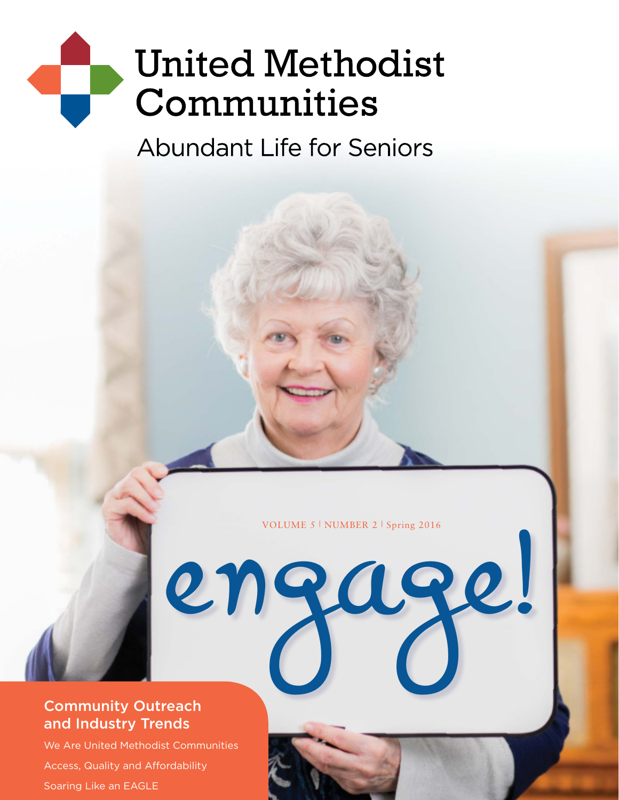# **United Methodist** Communities

**Abundant Life for Seniors** 

VOLUME 5 | NUMBER 2 | Spring 2016

engage!

#### Community Outreach and Industry Trends

We Are United Methodist Communities Access, Quality and Affordability Soaring Like an EAGLE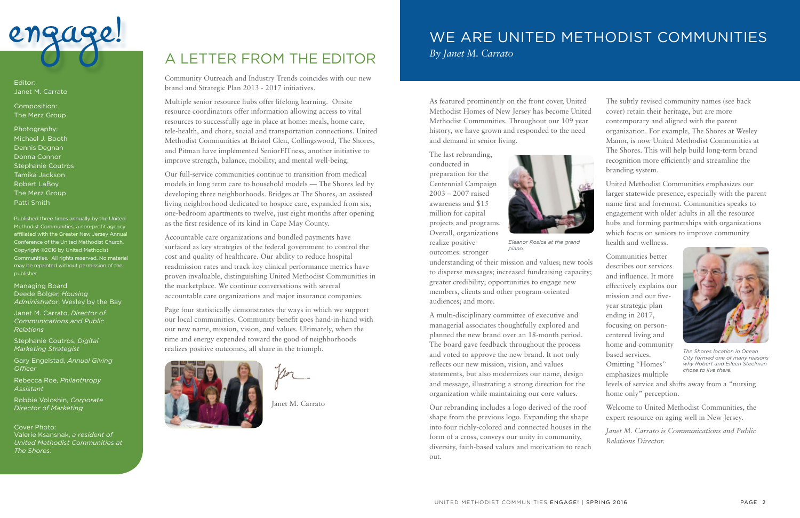Community Outreach and Industry Trends coincides with our new brand and Strategic Plan 2013 - 2017 initiatives.

Multiple senior resource hubs offer lifelong learning. Onsite resource coordinators offer information allowing access to vital resources to successfully age in place at home: meals, home care, tele-health, and chore, social and transportation connections. United Methodist Communities at Bristol Glen, Collingswood, The Shores, and Pitman have implemented SeniorFITness, another initiative to improve strength, balance, mobility, and mental well-being.

Our full-service communities continue to transition from medical models in long term care to household models — The Shores led by developing three neighborhoods. Bridges at The Shores, an assisted living neighborhood dedicated to hospice care, expanded from six, one-bedroom apartments to twelve, just eight months after opening as the first residence of its kind in Cape May County.

Accountable care organizations and bundled payments have surfaced as key strategies of the federal government to control the cost and quality of healthcare. Our ability to reduce hospital readmission rates and track key clinical performance metrics have proven invaluable, distinguishing United Methodist Communities in the marketplace. We continue conversations with several accountable care organizations and major insurance companies.

Page four statistically demonstrates the ways in which we support our local communities. Community benefit goes hand-in-hand with our new name, mission, vision, and values. Ultimately, when the time and energy expended toward the good of neighborhoods realizes positive outcomes, all share in the triumph.



Janet M. Carrato



Editor: Janet M. Carrato

Composition: The Merz Group

Photography: Michael J. Booth Dennis Degnan Donna Connor Stephanie Coutros Tamika Jackson Robert LaBoy The Merz Group Patti Smith

Published three times annually by the United Methodist Communities, a non-profit agency affiliated with the Greater New Jersey Annual Conference of the United Methodist Church. Copyright ©2016 by United Methodist Communities. All rights reserved. No material may be reprinted without permission of the publisher.

Managing Board Deede Bolger, *Housing Administrator*, Wesley by the Bay

Janet M. Carrato, *Director of Communications and Public Relations*

Stephanie Coutros, *Digital Marketing Strategist*

Gary Engelstad, *Annual Giving Officer*

Rebecca Roe, *Philanthropy Assistant*

Robbie Voloshin, *Corporate Director of Marketing*

Cover Photo: Valerie Ksansnak, *a resident of United Methodist Communities at The Shores*.

### A LETTER FROM THE EDITOR

### WE ARE UNITED METHODIST COMMUNITIES *By Janet M. Carrato*

As featured prominently on the front cover, United Methodist Homes of New Jersey has become United Methodist Communities. Throughout our 109 year history, we have grown and responded to the need and demand in senior living.

The last rebranding, conducted in preparation for the Centennial Campaign 2003 – 2007 raised awareness and \$15 million for capital projects and programs. Overall, organizations realize positive outcomes: stronger

understanding of their mission and values; new tools to disperse messages; increased fundraising capacity; greater credibility; opportunities to engage new members, clients and other program-oriented audiences; and more.

A multi-disciplinary committee of executive and managerial associates thoughtfully explored and planned the new brand over an 18-month period. The board gave feedback throughout the process and voted to approve the new brand. It not only reflects our new mission, vision, and values statements, but also modernizes our name, design and message, illustrating a strong direction for the organization while maintaining our core values.

Our rebranding includes a logo derived of the roof shape from the previous logo. Expanding the shape into four richly-colored and connected houses in the form of a cross, conveys our unity in community, diversity, faith-based values and motivation to reach out.

The subtly revised community names (see back cover) retain their heritage, but are more contemporary and aligned with the parent organization. For example, The Shores at Wesley Manor, is now United Methodist Communities at The Shores. This will help build long-term brand recognition more efficiently and streamline the branding system.

United Methodist Communities emphasizes our larger statewide presence, especially with the parent name first and foremost. Communities speaks to engagement with older adults in all the resource hubs and forming partnerships with organizations which focus on seniors to improve community health and wellness.

Communities better describes our services and influence. It more effectively explains our mission and our fiveyear strategic plan ending in 2017, focusing on personcentered living and home and community based services. Omitting "Homes" emphasizes multiple

levels of service and shifts away from a "nursing home only" perception.

Welcome to United Methodist Communities, the expert resource on aging well in New Jersey.

*Janet M. Carrato is Communications and Public Relations Director.*



*Eleanor Rosica at the grand piano.*



*The Shores location in Ocean City formed one of many reasons why Robert and Eileen Steelman chose to live there.*

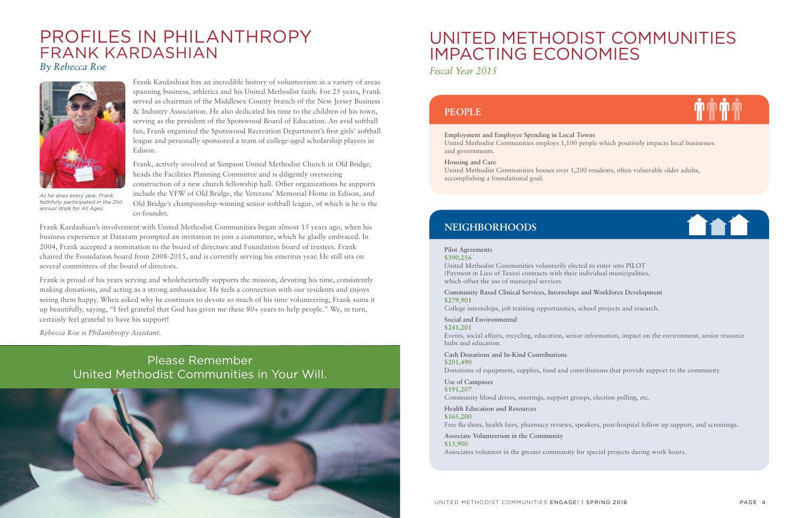### PROFILES IN PHILANTHROPY FRANK KARDASHIAN

*By Rebecca Roe*

Frank Kardashian has an incredible history of volunteerism in a variety of areas spanning business, athletics and his United Methodist faith. For 25 years, Frank served as chairman of the Middlesex County branch of the New Jersey Business & Industry Association. He also dedicated his time to the children of his town, serving as the president of the Spotswood Board of Education. An avid softball fan, Frank organized the Spotswood Recreation Department's first girls' softball league and personally sponsored a team of college-aged scholarship players in Edison.

Frank, actively involved at Simpson United Methodist Church in Old Bridge, heads the Facilities Planning Committee and is diligently overseeing construction of a new church fellowship hall. Other organizations he supports include the VFW of Old Bridge, the Veterans' Memorial Home in Edison, and Old Bridge's championship-winning senior softball league, of which is he is the co-founder.

Frank Kardashian's involvement with United Methodist Communities began almost 15 years ago, when his business experience at Dataram prompted an invitation to join a committee, which he gladly embraced. In 2004, Frank accepted a nomination to the board of directors and Foundation board of trustees. Frank chaired the Foundation board from 2008-2015, and is currently serving his emeritus year. He still sits on several committees of the board of directors.

Frank is proud of his years serving and wholeheartedly supports the mission, devoting his time, consistently making donations, and acting as a strong ambassador. He feels a connection with our residents and enjoys seeing them happy. When asked why he continues to devote so much of his time volunteering, Frank sums it up beautifully, saying, "I feel grateful that God has given me these 80+ years to help people." We, in turn, certainly feel grateful to have his support!

*Rebecca Roe is Philanthropy Assistant.*



*As he does every year, Frank faithfully participated in the 21st annual Walk for All Ages.*



### UNITED METHODIST COMMUNITIES IMPACTING ECONOMIES

*Fiscal Year 2015*

**Employment and Employee Spending in Local Towns**  United Methodist Communities employs 1,100 people which positively impacts local businesses and governments.

#### **Housing and Care**

United Methodist Communities houses over 1,200 residents, often vulnerable older adults, accomplishing a foundational goal.

#### **Pilot Agreements**

**\$390,256** 

United Methodist Communities voluntarily elected to enter into PILOT (Payment in Lieu of Taxes) contracts with their individual municipalities, which offset the use of municipal services.

**Community Based Clinical Services, Internships and Workforce Development \$279,901** 

College internships, job training opportunities, school projects and research.

**Social and Environmental \$241,201** 

Events, social affairs, recycling, education, senior information, impact on the environment, senior resource hubs and education.

**Cash Donations and In-Kind Contributions \$201,490** 

Donations of equipment, supplies, food and contributions that provide support to the community.

**Use of Campuses \$191,207** 

Community blood drives, meetings, support groups, election polling, etc.

**Health Education and Resources \$165,200** 

Free flu shots, health fairs, pharmacy reviews, speakers, post-hospital follow up support, and screenings.

**Associate Volunteerism in the Community \$13,900** 

Associates volunteer in the greater community for special projects during work hours.

#### **NEIGHBORHOODS**

#### **PEOPLE**



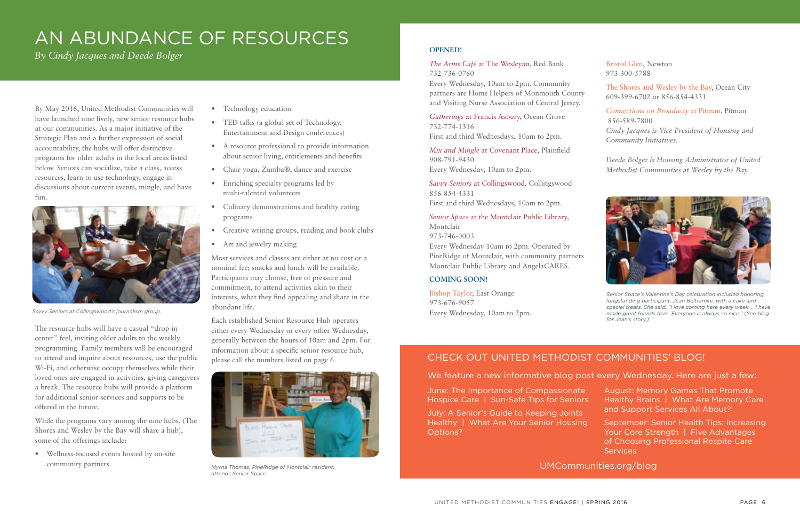By May 2016, United Methodist Communities will have launched nine lively, new senior resource hubs at our communities. As a major initiative of the Strategic Plan and a further expression of social accountability, the hubs will offer distinctive programs for older adults in the local areas listed below. Seniors can socialize, take a class, access resources, learn to use technology, engage in discussions about current events, mingle, and have fun.

The resource hubs will have a casual "drop-in center" feel, inviting older adults to the weekly programming. Family members will be encouraged to attend and inquire about resources, use the public Wi-Fi, and otherwise occupy themselves while their loved ones are engaged in activities, giving caregivers a break. The resource hubs will provide a platform for additional senior services and supports to be offered in the future.

While the programs vary among the nine hubs, (The Shores and Wesley by the Bay will share a hub), some of the offerings include:

• Wellness-focused events hosted by on-site community partners

- Technology education
- TED talks (a global set of Technology, Entertainment and Design conferences)
- A resource professional to provide information about senior living, entitlements and benefits
- Chair yoga, Zumba®, dance and exercise
- Enriching specialty programs led by multi-talented volunteers
- Culinary demonstrations and healthy eating programs
- Creative writing groups, reading and book clubs
- Art and jewelry making

Most services and classes are either at no cost or a nominal fee; snacks and lunch will be available. Participants may choose, free of pressure and commitment, to attend activities akin to their interests, what they find appealing and share in the abundant life.

Each established Senior Resource Hub operates either every Wednesday or every other Wednesday, generally between the hours of 10am and 2pm. For information about a specific senior resource hub, please call the numbers listed on page 6.

> September: Senior Health Tips: Increasing Your Core Strength | Five Advantages of Choosing Professional Respite Care **Services**

## AN ABUNDANCE OF RESOURCES

*By Cindy Jacques and Deede Bolger*



*Savvy Seniors at Collingswood's journalism group.*



*Myrna Thomas, PineRidge of Montclair resident, attends Senior Space.*

#### **OPENED!**

*The Arms Café* at The Wesleyan, Red Bank 732-736-0760

Every Wednesday, 10am to 2pm. Community partners are Home Helpers of Monmouth County and Visiting Nurse Association of Central Jersey.

*Gatherings* at Francis Asbury, Ocean Grove 732-774-1316

First and third Wednesdays, 10am to 2pm.

*Mix and Mingle* at Covenant Place, Plainfield 908-791-9430 Every Wednesday, 10am to 2pm.

*Savvy Seniors* at Collingswood, Collingswood 856-854-4331 First and third Wednesdays, 10am to 2pm.

#### *Senior Space* at the Montclair Public Library,

Montclair 973-746-0003 Every Wednesday 10am to 2pm. Operated by PineRidge of Montclair, with community partners Montclair Public Library and AngelaCARES.

#### **COMING SOON!**

Bishop Taylor, East Orange 973-676-9057 Every Wednesday, 10am to 2pm. Bristol Glen, Newton 973-300-5788

The Shores and Wesley by the Bay, Ocean City 609-399-6702 or 856-854-4331

*Connections on Broadway* at Pitman, Pitman 856-589-7800 *Cindy Jacques is Vice President of Housing and Community Initiatives.* 

*Deede Bolger is Housing Administrator of United Methodist Communities at Wesley by the Bay.*



*Senior Space's Valentine's Day celebration included honoring longstanding participant, Jean Beltramini, with a cake and special treats. She said, "I love coming here every week…. I have made great friends here. Everyone is always so nice." (See blog for Jean's story.)*

### CHECK OUT UNITED METHODIST COMMUNITIES' BLOG!

#### We feature a new informative blog post every Wednesday. Here are just a few:

June: The Importance of Compassionate Hospice Care | Sun-Safe Tips for Seniors

July: A Senior's Guide to Keeping Joints Healthy | What Are Your Senior Housing Options?

August: Memory Games That Promote Healthy Brains | What Are Memory Care and Support Services All About?

UMCommunities.org/blog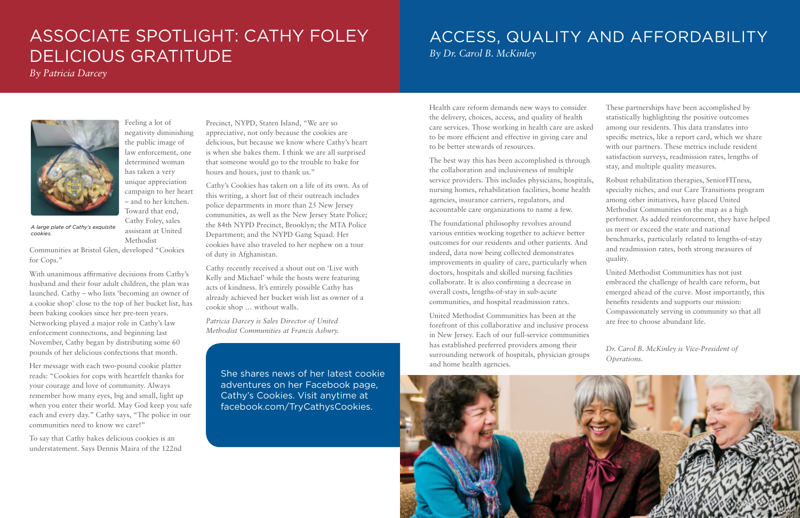Feeling a lot of

has taken a very

– and to her kitchen. Toward that end, Cathy Foley, sales assistant at United

Methodist

Communities at Bristol Glen, developed "Cookies for Cops."

With unanimous affirmative decisions from Cathy's husband and their four adult children, the plan was launched. Cathy – who lists 'becoming an owner of a cookie shop' close to the top of her bucket list, has been baking cookies since her pre-teen years. Networking played a major role in Cathy's law enforcement connections, and beginning last November, Cathy began by distributing some 60 pounds of her delicious confections that month.

negativity diminishing the public image of law enforcement, one determined woman unique appreciation campaign to her heart Precinct, NYPD, Staten Island, "We are so appreciative, not only because the cookies are delicious, but because we know where Cathy's heart is when she bakes them. I think we are all surprised that someone would go to the trouble to bake for hours and hours, just to thank us." Cathy's Cookies has taken on a life of its own. As of

Her message with each two-pound cookie platter reads: "Cookies for cops with heartfelt thanks for your courage and love of community. Always remember how many eyes, big and small, light up when you enter their world. May God keep you safe each and every day." Cathy says, "The police in our communities need to know we care!"

To say that Cathy bakes delicious cookies is an understatement. Says Dennis Maira of the 122nd this writing, a short list of their outreach includes police departments in more than 25 New Jersey communities, as well as the New Jersey State Police; the 84th NYPD Precinct, Brooklyn; the MTA Police Department; and the NYPD Gang Squad. Her cookies have also traveled to her nephew on a tour of duty in Afghanistan.

Cathy recently received a shout out on 'Live with Kelly and Michael' while the hosts were featuring acts of kindness. It's entirely possible Cathy has already achieved her bucket wish list as owner of a cookie shop … without walls.

*Patricia Darcey is Sales Director of United Methodist Communities at Francis Asbury.*

*A large plate of Cathy's exquisite cookies.*

### ASSOCIATE SPOTLIGHT: CATHY FOLEY DELICIOUS GRATITUDE

*By Patricia Darcey*

She shares news of her latest cookie adventures on her Facebook page, Cathy's Cookies. Visit anytime at facebook.com/TryCathysCookies.

### ACCESS, QUALITY AND AFFORDABILITY

*By Dr. Carol B. McKinley*

the collaboration and inclusiveness of multiple service providers. This includes physicians, hospitals, nursing homes, rehabilitation facilities, home health agencies, insurance carriers, regulators, and accountable care organizations to name a few.

The foundational philosophy revolves around various entities working together to achieve better outcomes for our residents and other patients. And indeed, data now being collected demonstrates improvements in quality of care, particularly when doctors, hospitals and skilled nursing facilities collaborate. It is also confirming a decrease in overall costs, lengths-of-stay in sub-acute communities, and hospital readmission rates.

Health care reform demands new ways to consider the delivery, choices, access, and quality of health care services. Those working in health care are asked to be more efficient and effective in giving care and to be better stewards of resources. The best way this has been accomplished is through These partnerships have been accomplished by statistically highlighting the positive outcomes among our residents. This data translates into specific metrics, like a report card, which we share with our partners. These metrics include resident satisfaction surveys, readmission rates, lengths of stay, and multiple quality measures.

United Methodist Communities has been at the forefront of this collaborative and inclusive process in New Jersey. Each of our full-service communities has established preferred providers among their surrounding network of hospitals, physician groups and home health agencies.



Robust rehabilitation therapies, SeniorFITness, specialty niches, and our Care Transitions program among other initiatives, have placed United Methodist Communities on the map as a high performer. As added reinforcement, they have helped us meet or exceed the state and national benchmarks, particularly related to lengths-of-stay and readmission rates, both strong measures of quality.

United Methodist Communities has not just embraced the challenge of health care reform, but emerged ahead of the curve. Most importantly, this benefits residents and supports our mission: Compassionately serving in community so that all are free to choose abundant life.

*Dr. Carol B. McKinley is Vice-President of Operations.*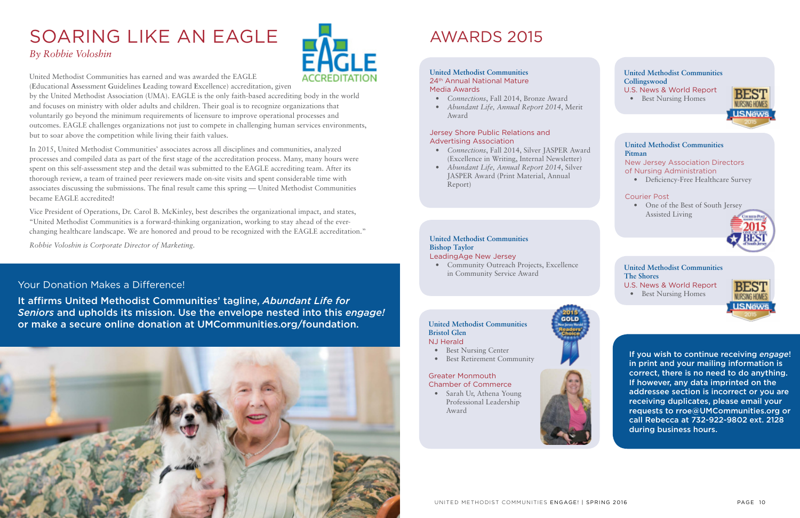# SOARING LIKE AN EAGLE

### *By Robbie Voloshin*

United Methodist Communities has earned and was awarded the EAGLE

(**E**ducational **A**ssessment **G**uidelines **L**eading toward **E**xcellence) accreditation, given

by the United Methodist Association (UMA). EAGLE is the only faith-based accrediting body in the world and focuses on ministry with older adults and children. Their goal is to recognize organizations that voluntarily go beyond the minimum requirements of licensure to improve operational processes and outcomes. EAGLE challenges organizations not just to compete in challenging human services environments, but to soar above the competition while living their faith values.

- U.S. News & World Report
- Best Nursing Homes



In 2015, United Methodist Communities' associates across all disciplines and communities, analyzed processes and compiled data as part of the first stage of the accreditation process. Many, many hours were spent on this self-assessment step and the detail was submitted to the EAGLE accrediting team. After its thorough review, a team of trained peer reviewers made on-site visits and spent considerable time with associates discussing the submissions. The final result came this spring — United Methodist Communities became EAGLE accredited!

Vice President of Operations, Dr. Carol B. McKinley, best describes the organizational impact, and states, "United Methodist Communities is a forward-thinking organization, working to stay ahead of the everchanging healthcare landscape. We are honored and proud to be recognized with the EAGLE accreditation."

- Best Nursing Center
- Best Retirement Community

• Sarah Ur, Athena Young Professional Leadership Award



*Robbie Voloshin is Corporate Director of Marketing.*

#### Your Donation Makes a Difference!

It affirms United Methodist Communities' tagline, *Abundant Life for Seniors* and upholds its mission. Use the envelope nested into this *engage!* or make a secure online donation at UMCommunities.org/foundation.





#### **United Methodist Communities The Shores**

If you wish to continue receiving *engage*! in print and your mailing information is correct, there is no need to do anything. If however, any data imprinted on the addressee section is incorrect or you are receiving duplicates, please email your requests to rroe@UMCommunities.org or call Rebecca at 732-922-9802 ext. 2128 during business hours.

### AWARDS 2015

#### **United Methodist Communities**  24th Annual National Mature Media Awards

- *Connections*, Fall 2014, Bronze Award
- *Abundant Life, Annual Report 2014*, Merit Award

#### Jersey Shore Public Relations and Advertising Association

- *Connections*, Fall 2014, Silver JASPER Award (Excellence in Writing, Internal Newsletter)
- *Abundant Life, Annual Report 2014*, Silver JASPER Award (Print Material, Annual Report)

#### **United Methodist Communities Bishop Taylor**

#### LeadingAge New Jersey

• Community Outreach Projects, Excellence in Community Service Award

#### **United Methodist Communities Bristol Glen** NJ Herald

#### Greater Monmouth Chamber of Commerce

#### **United Methodist Communities Collingswood**

U.S. News & World Report

• Best Nursing Homes



#### **United Methodist Communities Pitman**

New Jersey Association Directors of Nursing Administration

• Deficiency-Free Healthcare Survey

#### Courier Post

• One of the Best of South Jersey Assisted Living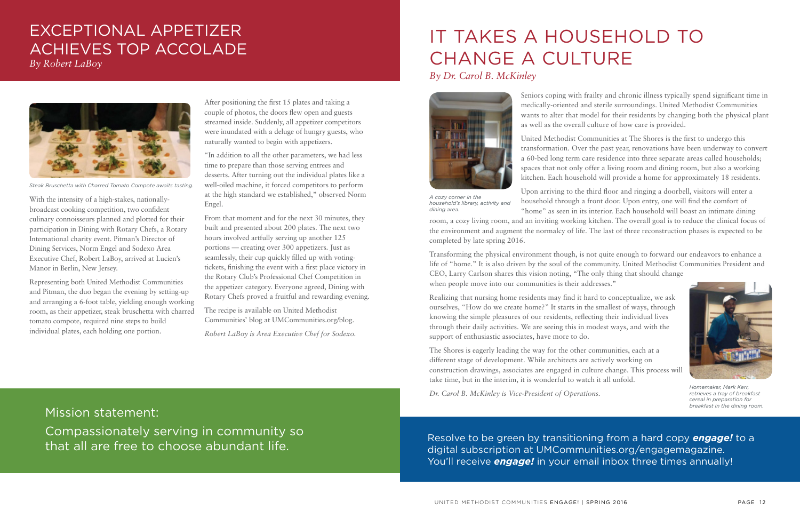With the intensity of a high-stakes, nationallybroadcast cooking competition, two confident culinary connoisseurs planned and plotted for their participation in Dining with Rotary Chefs, a Rotary International charity event. Pitman's Director of Dining Services, Norm Engel and Sodexo Area Executive Chef, Robert LaBoy, arrived at Lucien's Manor in Berlin, New Jersey.

Representing both United Methodist Communities and Pitman, the duo began the evening by setting-up and arranging a 6-foot table, yielding enough working room, as their appetizer, steak bruschetta with charred tomato compote, required nine steps to build individual plates, each holding one portion.

After positioning the first 15 plates and taking a couple of photos, the doors flew open and guests streamed inside. Suddenly, all appetizer competitors were inundated with a deluge of hungry guests, who naturally wanted to begin with appetizers.

> Resolve to be green by transitioning from a hard copy *engage!* to a digital subscription at UMCommunities.org/engagemagazine. You'll receive **engage!** in your email inbox three times annually!

"In addition to all the other parameters, we had less time to prepare than those serving entrees and desserts. After turning out the individual plates like a well-oiled machine, it forced competitors to perform at the high standard we established," observed Norm Engel.

From that moment and for the next 30 minutes, they built and presented about 200 plates. The next two hours involved artfully serving up another 125 portions — creating over 300 appetizers. Just as seamlessly, their cup quickly filled up with votingtickets, finishing the event with a first place victory in the Rotary Club's Professional Chef Competition in the appetizer category. Everyone agreed, Dining with Rotary Chefs proved a fruitful and rewarding evening.

The recipe is available on United Methodist Communities' blog at UMCommunities.org/blog.

*Robert LaBoy is Area Executive Chef for Sodexo.*

### EXCEPTIONAL APPETIZER ACHIEVES TOP ACCOLADE

*By Robert LaBoy*



*Steak Bruschetta with Charred Tomato Compote awaits tasting.*

Mission statement:

Compassionately serving in community so that all are free to choose abundant life.

Seniors coping with frailty and chronic illness typically spend significant time in medically-oriented and sterile surroundings. United Methodist Communities wants to alter that model for their residents by changing both the physical plant as well as the overall culture of how care is provided.

United Methodist Communities at The Shores is the first to undergo this transformation. Over the past year, renovations have been underway to convert a 60-bed long term care residence into three separate areas called households; spaces that not only offer a living room and dining room, but also a working kitchen. Each household will provide a home for approximately 18 residents.

Upon arriving to the third floor and ringing a doorbell, visitors will enter a household through a front door. Upon entry, one will find the comfort of "home" as seen in its interior. Each household will boast an intimate dining

Transforming the physical environment though, is not quite enough to forward our endeavors to enhance a life of "home." It is also driven by the soul of the community. United Methodist Communities President and CEO, Larry Carlson shares this vision noting, "The only thing that should change when people move into our communities is their addresses."

room, a cozy living room, and an inviting working kitchen. The overall goal is to reduce the clinical focus of the environment and augment the normalcy of life. The last of three reconstruction phases is expected to be completed by late spring 2016. *A cozy corner in the household's library, activity and dining area.*

Realizing that nursing home residents may find it hard to conceptualize, we ask ourselves, "How do we create home?" It starts in the smallest of ways, through knowing the simple pleasures of our residents, reflecting their individual lives through their daily activities. We are seeing this in modest ways, and with the support of enthusiastic associates, have more to do.

The Shores is eagerly leading the way for the other communities, each at a different stage of development. While architects are actively working on construction drawings, associates are engaged in culture change. This process will take time, but in the interim, it is wonderful to watch it all unfold.

*Dr. Carol B. McKinley is Vice-President of Operations.*

# IT TAKES A HOUSEHOLD TO CHANGE A CULTURE

*By Dr. Carol B. McKinley*





*Homemaker, Mark Kerr, retrieves a tray of breakfast cereal in preparation for breakfast in the dining room.*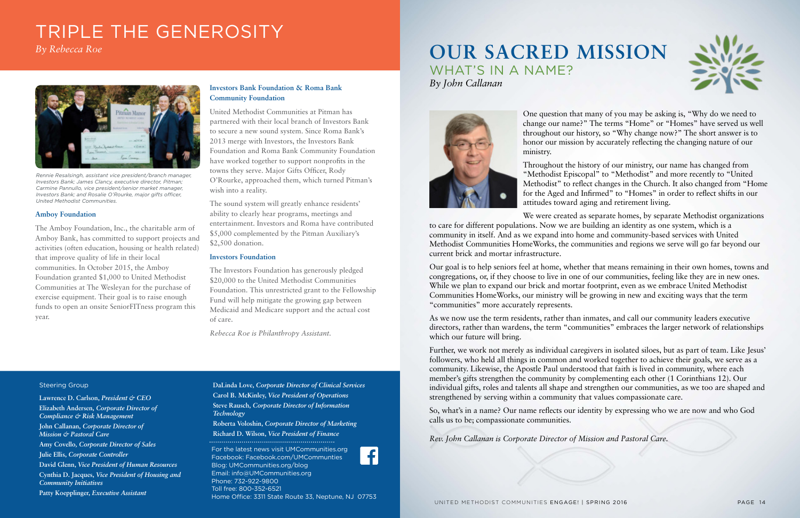#### Steering Group

**Lawrence D. Carlson,** *President & CEO* **Elizabeth Andersen,** *Corporate Director of Compliance & Risk Management* **John Callanan,** *Corporate Director of Mission & Pastoral Care* **Amy Covello***, Corporate Director of Sales* **Julie Ellis,** *Corporate Controller* **David Glenn,** *Vice President of Human Resources* **Cynthia D. Jacques,** *Vice President of Housing and Community Initiatives* **Patty Koepplinger,** *Executive Assistant*

**DaLinda Love,** *Corporate Director of Clinical Services* **Carol B. McKinley,** *Vice President of Operations* **Steve Rausch,** *Corporate Director of Information Technology* **Roberta Voloshin,** *Corporate Director of Marketing* **Richard D. Wilson,** *Vice President of Finance*

For the latest news visit UMCommunities.org Facebook: Facebook.com/UMCommunties Blog: UMCommunities.org/blog Email: info@UMCommunities.org Phone: 732-922-9800 Toll free: 800-352-6521 Home Office: 3311 State Route 33, Neptune, NJ 07753

#### **Amboy Foundation**

The Amboy Foundation, Inc., the charitable arm of Amboy Bank, has committed to support projects and activities (often education, housing or health related) that improve quality of life in their local communities. In October 2015, the Amboy Foundation granted \$1,000 to United Methodist Communities at The Wesleyan for the purchase of exercise equipment. Their goal is to raise enough funds to open an onsite SeniorFITness program this year.

#### **Investors Bank Foundation & Roma Bank Community Foundation**

United Methodist Communities at Pitman has partnered with their local branch of Investors Bank to secure a new sound system. Since Roma Bank's 2013 merge with Investors, the Investors Bank Foundation and Roma Bank Community Foundation have worked together to support nonprofits in the towns they serve. Major Gifts Officer, Rody O'Rourke, approached them, which turned Pitman's wish into a reality.

The sound system will greatly enhance residents' ability to clearly hear programs, meetings and entertainment. Investors and Roma have contributed \$5,000 complemented by the Pitman Auxiliary's \$2,500 donation.

#### **Investors Foundation**

The Investors Foundation has generously pledged \$20,000 to the United Methodist Communities Foundation. This unrestricted grant to the Fellowship Fund will help mitigate the growing gap between Medicaid and Medicare support and the actual cost of care.

*Rebecca Roe is Philanthropy Assistant.*

## TRIPLE THE GENEROSITY

*By Rebecca Roe*



*Rennie Resalsingh, assistant vice president/branch manager, Investors Bank; James Clancy, executive director, Pitman; Carmine Pannullo, vice president/senior market manager, Investors Bank; and Rosalie O'Rourke, major gifts officer, United Methodist Communities.*

One question that many of you may be asking is, "Why do we need to change our name?" The terms "Home" or "Homes" have served us well throughout our history, so "Why change now?" The short answer is to honor our mission by accurately reflecting the changing nature of our ministry.

Throughout the history of our ministry, our name has changed from "Methodist Episcopal" to "Methodist" and more recently to "United Methodist" to reflect changes in the Church. It also changed from "Home for the Aged and Infirmed" to "Homes" in order to reflect shifts in our attitudes toward aging and retirement living.

We were created as separate homes, by separate Methodist organizations

to care for different populations. Now we are building an identity as one system, which is a community in itself. And as we expand into home and community-based services with United Methodist Communities HomeWorks, the communities and regions we serve will go far beyond our current brick and mortar infrastructure.

Our goal is to help seniors feel at home, whether that means remaining in their own homes, towns and congregations, or, if they choose to live in one of our communities, feeling like they are in new ones. While we plan to expand our brick and mortar footprint, even as we embrace United Methodist Communities HomeWorks, our ministry will be growing in new and exciting ways that the term "communities" more accurately represents.

As we now use the term residents, rather than inmates, and call our community leaders executive directors, rather than wardens, the term "communities" embraces the larger network of relationships which our future will bring.

Further, we work not merely as individual caregivers in isolated siloes, but as part of team. Like Jesus' followers, who held all things in common and worked together to achieve their goals, we serve as a community. Likewise, the Apostle Paul understood that faith is lived in community, where each member's gifts strengthen the community by complementing each other (1 Corinthians 12). Our individual gifts, roles and talents all shape and strengthen our communities, as we too are shaped and strengthened by serving within a community that values compassionate care.

So, what's in a name? Our name reflects our identity by expressing who we are now and who God calls us to be; compassionate communities.

*Rev. John Callanan is Corporate Director of Mission and Pastoral Care.*